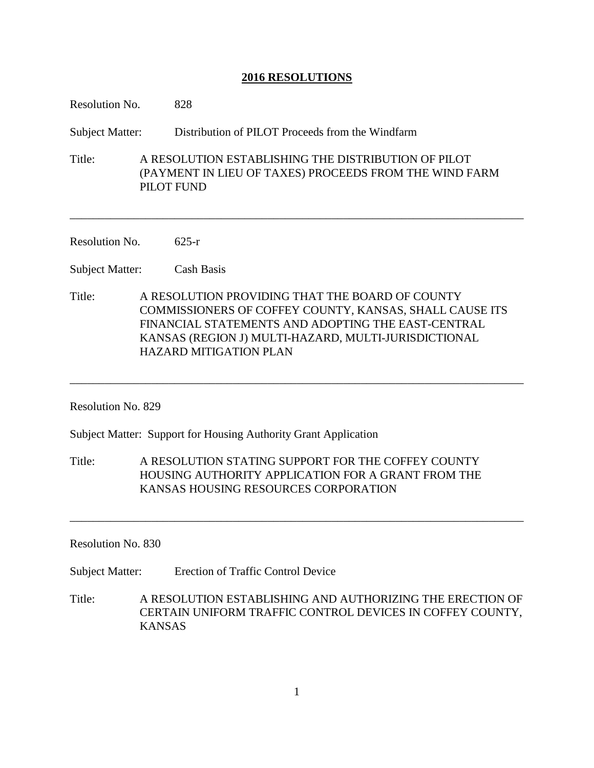| Resolution No.         | 828                                                                                                                                                                                                                                                       |
|------------------------|-----------------------------------------------------------------------------------------------------------------------------------------------------------------------------------------------------------------------------------------------------------|
| Subject Matter:        | Distribution of PILOT Proceeds from the Windfarm                                                                                                                                                                                                          |
| Title:                 | A RESOLUTION ESTABLISHING THE DISTRIBUTION OF PILOT<br>(PAYMENT IN LIEU OF TAXES) PROCEEDS FROM THE WIND FARM<br><b>PILOT FUND</b>                                                                                                                        |
| Resolution No.         | $625-r$                                                                                                                                                                                                                                                   |
| Subject Matter:        | Cash Basis                                                                                                                                                                                                                                                |
| Title:                 | A RESOLUTION PROVIDING THAT THE BOARD OF COUNTY<br>COMMISSIONERS OF COFFEY COUNTY, KANSAS, SHALL CAUSE ITS<br>FINANCIAL STATEMENTS AND ADOPTING THE EAST-CENTRAL<br>KANSAS (REGION J) MULTI-HAZARD, MULTI-JURISDICTIONAL<br><b>HAZARD MITIGATION PLAN</b> |
| Resolution No. 829     |                                                                                                                                                                                                                                                           |
|                        | Subject Matter: Support for Housing Authority Grant Application                                                                                                                                                                                           |
| Title:                 | A RESOLUTION STATING SUPPORT FOR THE COFFEY COUNTY<br>HOUSING AUTHORITY APPLICATION FOR A GRANT FROM THE<br>KANSAS HOUSING RESOURCES CORPORATION                                                                                                          |
| Resolution No. 830     |                                                                                                                                                                                                                                                           |
| <b>Subject Matter:</b> | <b>Erection of Traffic Control Device</b>                                                                                                                                                                                                                 |
| Title:                 | A RESOLUTION ESTABLISHING AND AUTHORIZING THE ERECTION OF<br>CERTAIN UNIFORM TRAFFIC CONTROL DEVICES IN COFFEY COUNTY,<br><b>KANSAS</b>                                                                                                                   |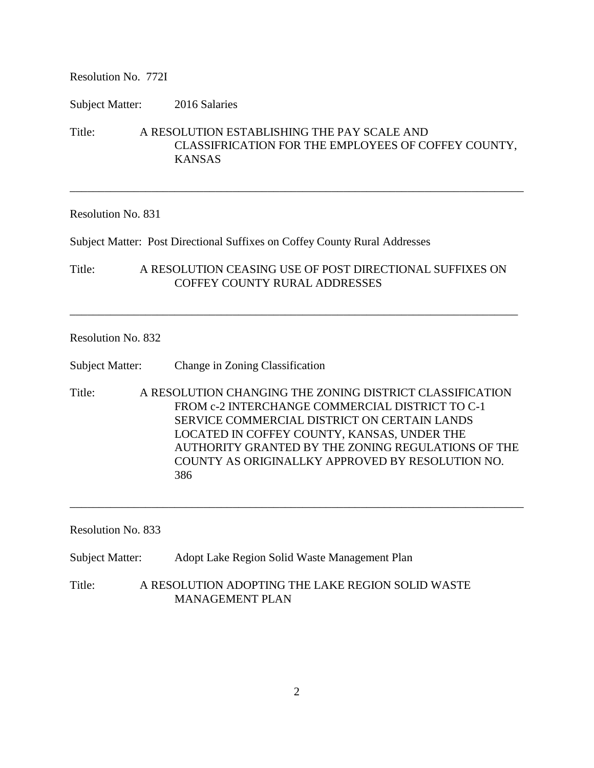Resolution No. 772I

Subject Matter: 2016 Salaries

Title: A RESOLUTION ESTABLISHING THE PAY SCALE AND CLASSIFRICATION FOR THE EMPLOYEES OF COFFEY COUNTY, KANSAS

\_\_\_\_\_\_\_\_\_\_\_\_\_\_\_\_\_\_\_\_\_\_\_\_\_\_\_\_\_\_\_\_\_\_\_\_\_\_\_\_\_\_\_\_\_\_\_\_\_\_\_\_\_\_\_\_\_\_\_\_\_\_\_\_\_\_\_\_\_\_\_\_\_\_\_\_\_\_

# Resolution No. 831

Subject Matter: Post Directional Suffixes on Coffey County Rural Addresses

Title: A RESOLUTION CEASING USE OF POST DIRECTIONAL SUFFIXES ON COFFEY COUNTY RURAL ADDRESSES

\_\_\_\_\_\_\_\_\_\_\_\_\_\_\_\_\_\_\_\_\_\_\_\_\_\_\_\_\_\_\_\_\_\_\_\_\_\_\_\_\_\_\_\_\_\_\_\_\_\_\_\_\_\_\_\_\_\_\_\_\_\_\_\_\_\_\_\_\_\_\_\_\_\_\_\_\_

# Resolution No. 832

Subject Matter: Change in Zoning Classification

Title: A RESOLUTION CHANGING THE ZONING DISTRICT CLASSIFICATION FROM c-2 INTERCHANGE COMMERCIAL DISTRICT TO C-1 SERVICE COMMERCIAL DISTRICT ON CERTAIN LANDS LOCATED IN COFFEY COUNTY, KANSAS, UNDER THE AUTHORITY GRANTED BY THE ZONING REGULATIONS OF THE COUNTY AS ORIGINALLKY APPROVED BY RESOLUTION NO. 386

\_\_\_\_\_\_\_\_\_\_\_\_\_\_\_\_\_\_\_\_\_\_\_\_\_\_\_\_\_\_\_\_\_\_\_\_\_\_\_\_\_\_\_\_\_\_\_\_\_\_\_\_\_\_\_\_\_\_\_\_\_\_\_\_\_\_\_\_\_\_\_\_\_\_\_\_\_\_

Resolution No. 833

Subject Matter: Adopt Lake Region Solid Waste Management Plan

Title: A RESOLUTION ADOPTING THE LAKE REGION SOLID WASTE MANAGEMENT PLAN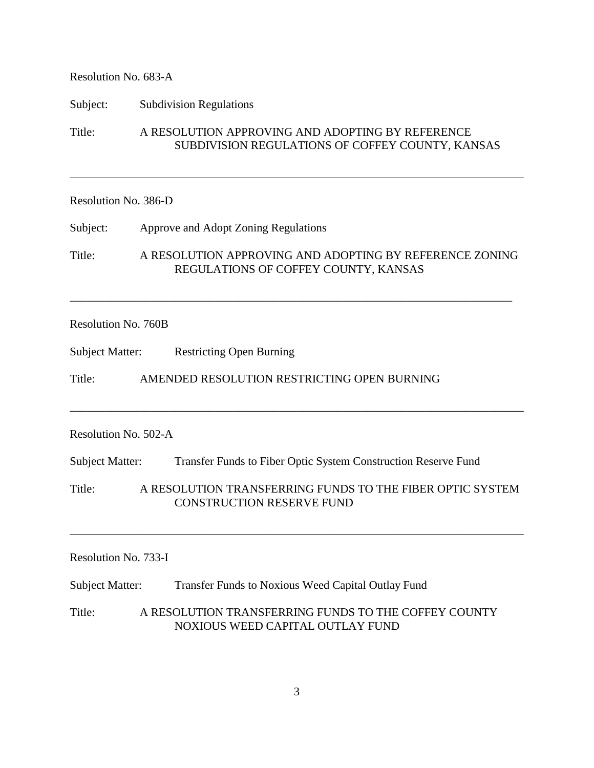## Resolution No. 683-A

Subject: Subdivision Regulations

Title: A RESOLUTION APPROVING AND ADOPTING BY REFERENCE SUBDIVISION REGULATIONS OF COFFEY COUNTY, KANSAS

\_\_\_\_\_\_\_\_\_\_\_\_\_\_\_\_\_\_\_\_\_\_\_\_\_\_\_\_\_\_\_\_\_\_\_\_\_\_\_\_\_\_\_\_\_\_\_\_\_\_\_\_\_\_\_\_\_\_\_\_\_\_\_\_\_\_\_\_\_\_\_\_\_\_\_\_\_\_

### Resolution No. 386-D

Subject: Approve and Adopt Zoning Regulations

Title: A RESOLUTION APPROVING AND ADOPTING BY REFERENCE ZONING REGULATIONS OF COFFEY COUNTY, KANSAS

\_\_\_\_\_\_\_\_\_\_\_\_\_\_\_\_\_\_\_\_\_\_\_\_\_\_\_\_\_\_\_\_\_\_\_\_\_\_\_\_\_\_\_\_\_\_\_\_\_\_\_\_\_\_\_\_\_\_\_\_\_\_\_\_\_\_\_\_\_\_\_\_\_\_\_\_

Resolution No. 760B

Subject Matter: Restricting Open Burning

Title: AMENDED RESOLUTION RESTRICTING OPEN BURNING

# Resolution No. 502-A

Subject Matter: Transfer Funds to Fiber Optic System Construction Reserve Fund

Title: A RESOLUTION TRANSFERRING FUNDS TO THE FIBER OPTIC SYSTEM CONSTRUCTION RESERVE FUND

\_\_\_\_\_\_\_\_\_\_\_\_\_\_\_\_\_\_\_\_\_\_\_\_\_\_\_\_\_\_\_\_\_\_\_\_\_\_\_\_\_\_\_\_\_\_\_\_\_\_\_\_\_\_\_\_\_\_\_\_\_\_\_\_\_\_\_\_\_\_\_\_\_\_\_\_\_\_

\_\_\_\_\_\_\_\_\_\_\_\_\_\_\_\_\_\_\_\_\_\_\_\_\_\_\_\_\_\_\_\_\_\_\_\_\_\_\_\_\_\_\_\_\_\_\_\_\_\_\_\_\_\_\_\_\_\_\_\_\_\_\_\_\_\_\_\_\_\_\_\_\_\_\_\_\_\_

#### Resolution No. 733-I

Subject Matter: Transfer Funds to Noxious Weed Capital Outlay Fund

Title: A RESOLUTION TRANSFERRING FUNDS TO THE COFFEY COUNTY NOXIOUS WEED CAPITAL OUTLAY FUND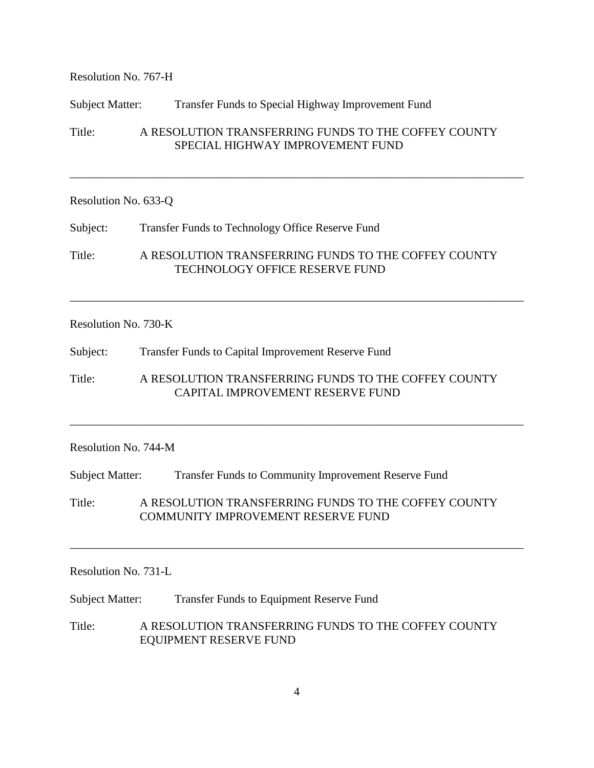Resolution No. 767-H

### Subject Matter: Transfer Funds to Special Highway Improvement Fund

Title: A RESOLUTION TRANSFERRING FUNDS TO THE COFFEY COUNTY SPECIAL HIGHWAY IMPROVEMENT FUND

\_\_\_\_\_\_\_\_\_\_\_\_\_\_\_\_\_\_\_\_\_\_\_\_\_\_\_\_\_\_\_\_\_\_\_\_\_\_\_\_\_\_\_\_\_\_\_\_\_\_\_\_\_\_\_\_\_\_\_\_\_\_\_\_\_\_\_\_\_\_\_\_\_\_\_\_\_\_

### Resolution No. 633-Q

Subject: Transfer Funds to Technology Office Reserve Fund

Title: A RESOLUTION TRANSFERRING FUNDS TO THE COFFEY COUNTY TECHNOLOGY OFFICE RESERVE FUND

\_\_\_\_\_\_\_\_\_\_\_\_\_\_\_\_\_\_\_\_\_\_\_\_\_\_\_\_\_\_\_\_\_\_\_\_\_\_\_\_\_\_\_\_\_\_\_\_\_\_\_\_\_\_\_\_\_\_\_\_\_\_\_\_\_\_\_\_\_\_\_\_\_\_\_\_\_\_

#### Resolution No. 730-K

Subject: Transfer Funds to Capital Improvement Reserve Fund

Title: A RESOLUTION TRANSFERRING FUNDS TO THE COFFEY COUNTY CAPITAL IMPROVEMENT RESERVE FUND

\_\_\_\_\_\_\_\_\_\_\_\_\_\_\_\_\_\_\_\_\_\_\_\_\_\_\_\_\_\_\_\_\_\_\_\_\_\_\_\_\_\_\_\_\_\_\_\_\_\_\_\_\_\_\_\_\_\_\_\_\_\_\_\_\_\_\_\_\_\_\_\_\_\_\_\_\_\_

### Resolution No. 744-M

Subject Matter: Transfer Funds to Community Improvement Reserve Fund

Title: A RESOLUTION TRANSFERRING FUNDS TO THE COFFEY COUNTY COMMUNITY IMPROVEMENT RESERVE FUND

\_\_\_\_\_\_\_\_\_\_\_\_\_\_\_\_\_\_\_\_\_\_\_\_\_\_\_\_\_\_\_\_\_\_\_\_\_\_\_\_\_\_\_\_\_\_\_\_\_\_\_\_\_\_\_\_\_\_\_\_\_\_\_\_\_\_\_\_\_\_\_\_\_\_\_\_\_\_

## Resolution No. 731-L

Subject Matter: Transfer Funds to Equipment Reserve Fund

Title: A RESOLUTION TRANSFERRING FUNDS TO THE COFFEY COUNTY EQUIPMENT RESERVE FUND